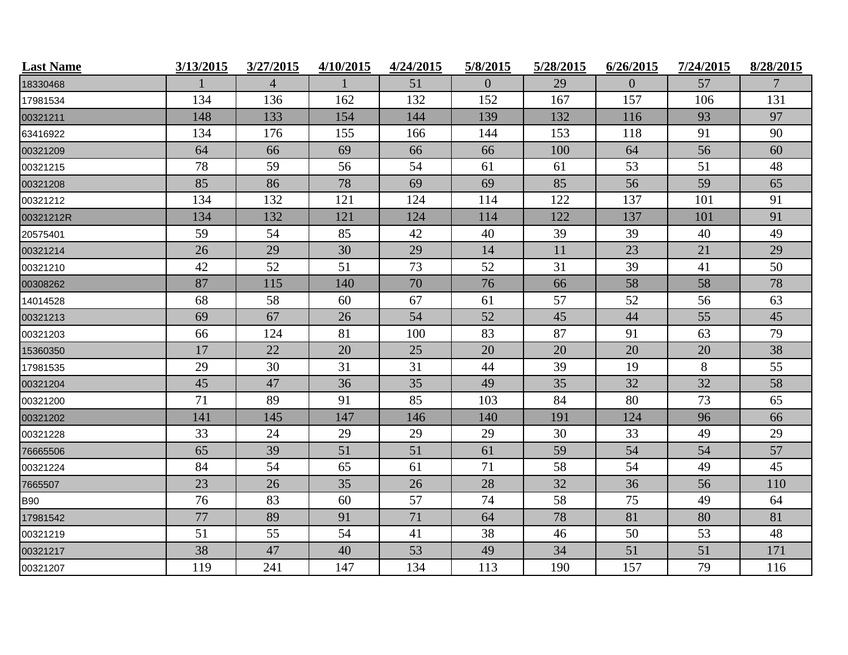| <b>Last Name</b> | 3/13/2015 | 3/27/2015      | 4/10/2015 | 4/24/2015 | 5/8/2015       | 5/28/2015 | 6/26/2015 | 7/24/2015 | 8/28/2015 |
|------------------|-----------|----------------|-----------|-----------|----------------|-----------|-----------|-----------|-----------|
| 18330468         |           | $\overline{4}$ |           | 51        | $\overline{0}$ | 29        | $\Omega$  | 57        | 7         |
| 17981534         | 134       | 136            | 162       | 132       | 152            | 167       | 157       | 106       | 131       |
| 00321211         | 148       | 133            | 154       | 144       | 139            | 132       | 116       | 93        | 97        |
| 63416922         | 134       | 176            | 155       | 166       | 144            | 153       | 118       | 91        | 90        |
| 00321209         | 64        | 66             | 69        | 66        | 66             | 100       | 64        | 56        | 60        |
| 00321215         | 78        | 59             | 56        | 54        | 61             | 61        | 53        | 51        | 48        |
| 00321208         | 85        | 86             | 78        | 69        | 69             | 85        | 56        | 59        | 65        |
| 00321212         | 134       | 132            | 121       | 124       | 114            | 122       | 137       | 101       | 91        |
| 00321212R        | 134       | 132            | 121       | 124       | 114            | 122       | 137       | 101       | 91        |
| 20575401         | 59        | 54             | 85        | 42        | 40             | 39        | 39        | 40        | 49        |
| 00321214         | 26        | 29             | 30        | 29        | 14             | 11        | 23        | 21        | 29        |
| 00321210         | 42        | 52             | 51        | 73        | 52             | 31        | 39        | 41        | 50        |
| 00308262         | 87        | 115            | 140       | 70        | 76             | 66        | 58        | 58        | 78        |
| 14014528         | 68        | 58             | 60        | 67        | 61             | 57        | 52        | 56        | 63        |
| 00321213         | 69        | 67             | 26        | 54        | 52             | 45        | 44        | 55        | 45        |
| 00321203         | 66        | 124            | 81        | 100       | 83             | 87        | 91        | 63        | 79        |
| 15360350         | 17        | 22             | 20        | 25        | 20             | 20        | 20        | 20        | 38        |
| 17981535         | 29        | 30             | 31        | 31        | 44             | 39        | 19        | 8         | 55        |
| 00321204         | 45        | 47             | 36        | 35        | 49             | 35        | 32        | 32        | 58        |
| 00321200         | 71        | 89             | 91        | 85        | 103            | 84        | 80        | 73        | 65        |
| 00321202         | 141       | 145            | 147       | 146       | 140            | 191       | 124       | 96        | 66        |
| 00321228         | 33        | 24             | 29        | 29        | 29             | 30        | 33        | 49        | 29        |
| 76665506         | 65        | 39             | 51        | 51        | 61             | 59        | 54        | 54        | 57        |
| 00321224         | 84        | 54             | 65        | 61        | 71             | 58        | 54        | 49        | 45        |
| 7665507          | 23        | 26             | 35        | 26        | 28             | 32        | 36        | 56        | 110       |
| <b>B90</b>       | 76        | 83             | 60        | 57        | 74             | 58        | 75        | 49        | 64        |
| 17981542         | 77        | 89             | 91        | 71        | 64             | 78        | 81        | 80        | 81        |
| 00321219         | 51        | 55             | 54        | 41        | 38             | 46        | 50        | 53        | 48        |
| 00321217         | 38        | 47             | 40        | 53        | 49             | 34        | 51        | 51        | 171       |
| 00321207         | 119       | 241            | 147       | 134       | 113            | 190       | 157       | 79        | 116       |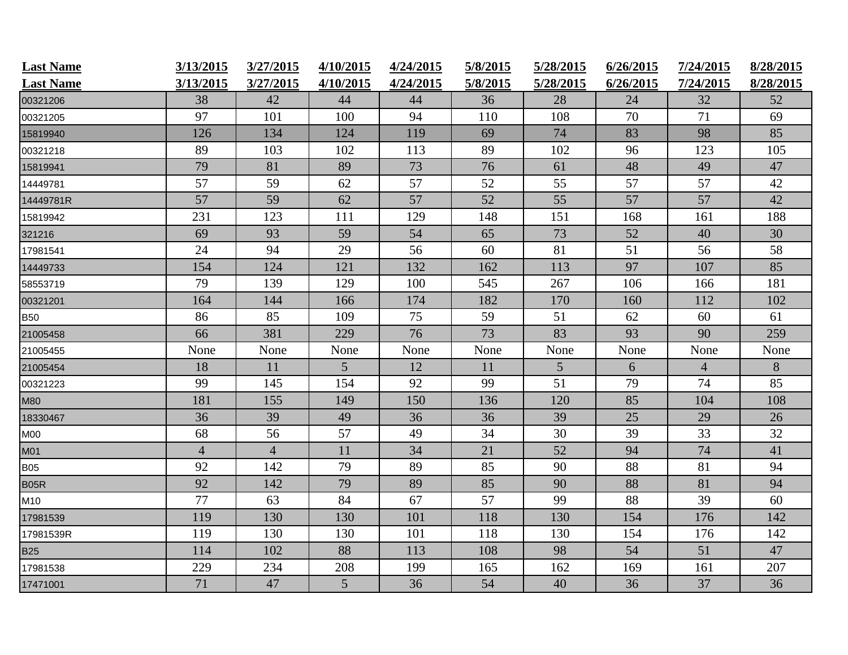| <b>Last Name</b><br><b>Last Name</b> | 3/13/2015<br>3/13/2015 | 3/27/2015<br>3/27/2015 | 4/10/2015<br>4/10/2015 | 4/24/2015<br>4/24/2015 | 5/8/2015<br>5/8/2015 | 5/28/2015<br>5/28/2015 | 6/26/2015<br>6/26/2015 | 7/24/2015<br>7/24/2015 | 8/28/2015<br>8/28/2015 |
|--------------------------------------|------------------------|------------------------|------------------------|------------------------|----------------------|------------------------|------------------------|------------------------|------------------------|
| 00321206                             | 38                     | 42                     | 44                     | 44                     | 36                   | 28                     | 24                     | 32                     | 52                     |
| 00321205                             | 97                     | 101                    | 100                    | 94                     | 110                  | 108                    | 70                     | 71                     | 69                     |
| 15819940                             | 126                    | 134                    | 124                    | 119                    | 69                   | 74                     | 83                     | 98                     | 85                     |
| 00321218                             | 89                     | 103                    | 102                    | 113                    | 89                   | 102                    | 96                     | 123                    | 105                    |
| 15819941                             | 79                     | 81                     | 89                     | 73                     | 76                   | 61                     | 48                     | 49                     | 47                     |
| 14449781                             | 57                     | 59                     | 62                     | 57                     | 52                   | 55                     | 57                     | 57                     | 42                     |
| 14449781R                            | 57                     | 59                     | 62                     | 57                     | 52                   | 55                     | 57                     | 57                     | 42                     |
| 15819942                             | 231                    | 123                    | 111                    | 129                    | 148                  | 151                    | 168                    | 161                    | 188                    |
| 321216                               | 69                     | 93                     | 59                     | 54                     | 65                   | 73                     | 52                     | 40                     | 30                     |
| 17981541                             | 24                     | 94                     | 29                     | 56                     | 60                   | 81                     | 51                     | 56                     | 58                     |
| 14449733                             | 154                    | 124                    | 121                    | 132                    | 162                  | 113                    | 97                     | 107                    | 85                     |
| 58553719                             | 79                     | 139                    | 129                    | 100                    | 545                  | 267                    | 106                    | 166                    | 181                    |
| 00321201                             | 164                    | 144                    | 166                    | 174                    | 182                  | 170                    | 160                    | 112                    | 102                    |
| <b>B50</b>                           | 86                     | 85                     | 109                    | 75                     | 59                   | 51                     | 62                     | 60                     | 61                     |
| 21005458                             | 66                     | 381                    | 229                    | 76                     | 73                   | 83                     | 93                     | 90                     | 259                    |
| 21005455                             | None                   | None                   | None                   | None                   | None                 | None                   | None                   | None                   | None                   |
| 21005454                             | 18                     | 11                     | 5                      | 12                     | 11                   | 5                      | 6                      | $\overline{4}$         | 8                      |
| 00321223                             | 99                     | 145                    | 154                    | 92                     | 99                   | 51                     | 79                     | 74                     | 85                     |
| <b>M80</b>                           | 181                    | 155                    | 149                    | 150                    | 136                  | 120                    | 85                     | 104                    | 108                    |
| 18330467                             | 36                     | 39                     | 49                     | 36                     | 36                   | 39                     | 25                     | 29                     | 26                     |
| M00                                  | 68                     | 56                     | 57                     | 49                     | 34                   | 30                     | 39                     | 33                     | 32                     |
| M01                                  | $\overline{4}$         | $\overline{4}$         | 11                     | 34                     | 21                   | 52                     | 94                     | 74                     | 41                     |
| <b>B05</b>                           | 92                     | 142                    | 79                     | 89                     | 85                   | 90                     | 88                     | 81                     | 94                     |
| <b>B05R</b>                          | 92                     | 142                    | 79                     | 89                     | 85                   | 90                     | 88                     | 81                     | 94                     |
| M10                                  | 77                     | 63                     | 84                     | 67                     | 57                   | 99                     | 88                     | 39                     | 60                     |
| 17981539                             | 119                    | 130                    | 130                    | 101                    | 118                  | 130                    | 154                    | 176                    | 142                    |
| 17981539R                            | 119                    | 130                    | 130                    | 101                    | 118                  | 130                    | 154                    | 176                    | 142                    |
| <b>B25</b>                           | 114                    | 102                    | 88                     | 113                    | 108                  | 98                     | 54                     | 51                     | 47                     |
| 17981538                             | 229                    | 234                    | 208                    | 199                    | 165                  | 162                    | 169                    | 161                    | 207                    |
| 17471001                             | 71                     | 47                     | 5                      | 36                     | 54                   | 40                     | 36                     | 37                     | 36                     |